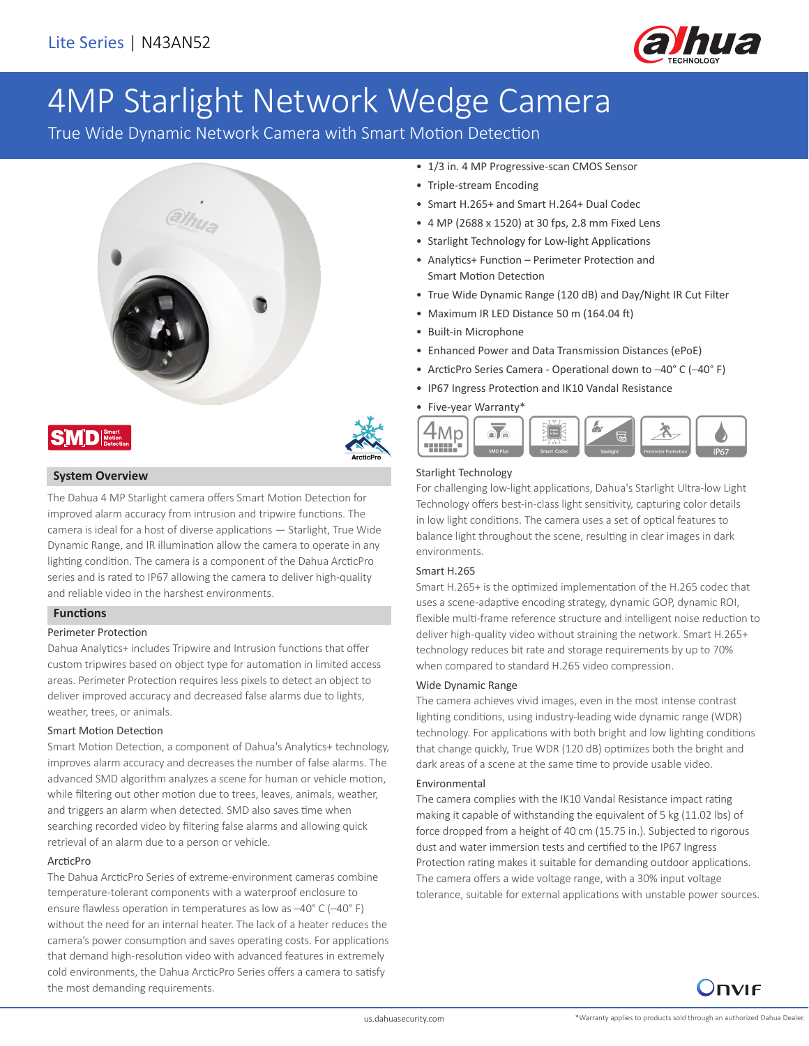

# 4MP Starlight Network Wedge Camera

True Wide Dynamic Network Camera with Smart Motion Detection







## **System Overview**

The Dahua 4 MP Starlight camera offers Smart Motion Detection for improved alarm accuracy from intrusion and tripwire functions. The camera is ideal for a host of diverse applications — Starlight, True Wide Dynamic Range, and IR illumination allow the camera to operate in any lighting condition. The camera is a component of the Dahua ArcticPro series and is rated to IP67 allowing the camera to deliver high-quality and reliable video in the harshest environments.

## **Functions**

## Perimeter Protection

Dahua Analytics+ includes Tripwire and Intrusion functions that offer custom tripwires based on object type for automation in limited access areas. Perimeter Protection requires less pixels to detect an object to deliver improved accuracy and decreased false alarms due to lights, weather, trees, or animals.

## Smart Motion Detection

Smart Motion Detection, a component of Dahua's Analytics+ technology, improves alarm accuracy and decreases the number of false alarms. The advanced SMD algorithm analyzes a scene for human or vehicle motion, while filtering out other motion due to trees, leaves, animals, weather, and triggers an alarm when detected. SMD also saves time when searching recorded video by filtering false alarms and allowing quick retrieval of an alarm due to a person or vehicle.

## ArcticPro

The Dahua ArcticPro Series of extreme-environment cameras combine temperature-tolerant components with a waterproof enclosure to ensure flawless operation in temperatures as low as –40° C (–40° F) without the need for an internal heater. The lack of a heater reduces the camera's power consumption and saves operating costs. For applications that demand high-resolution video with advanced features in extremely cold environments, the Dahua ArcticPro Series offers a camera to satisfy the most demanding requirements.

- 1/3 in. 4 MP Progressive-scan CMOS Sensor
- Triple-stream Encoding
- Smart H.265+ and Smart H.264+ Dual Codec
- 4 MP (2688 x 1520) at 30 fps, 2.8 mm Fixed Lens
- Starlight Technology for Low-light Applications
- Analytics+ Function Perimeter Protection and Smart Motion Detection
- True Wide Dynamic Range (120 dB) and Day/Night IR Cut Filter
- Maximum IR LED Distance 50 m (164.04 ft)
- Built-in Microphone
- Enhanced Power and Data Transmission Distances (ePoE)
- ArcticPro Series Camera Operational down to –40° C (–40° F)
- IP67 Ingress Protection and IK10 Vandal Resistance
- Five-year Warranty\*



## Starlight Technology

For challenging low-light applications, Dahua's Starlight Ultra-low Light Technology offers best-in-class light sensitivity, capturing color details in low light conditions. The camera uses a set of optical features to balance light throughout the scene, resulting in clear images in dark environments.

#### Smart H.265

Smart H.265+ is the optimized implementation of the H.265 codec that uses a scene-adaptive encoding strategy, dynamic GOP, dynamic ROI, flexible multi-frame reference structure and intelligent noise reduction to deliver high-quality video without straining the network. Smart H.265+ technology reduces bit rate and storage requirements by up to 70% when compared to standard H.265 video compression.

#### Wide Dynamic Range

The camera achieves vivid images, even in the most intense contrast lighting conditions, using industry-leading wide dynamic range (WDR) technology. For applications with both bright and low lighting conditions that change quickly, True WDR (120 dB) optimizes both the bright and dark areas of a scene at the same time to provide usable video.

## Environmental

The camera complies with the IK10 Vandal Resistance impact rating making it capable of withstanding the equivalent of 5 kg (11.02 lbs) of force dropped from a height of 40 cm (15.75 in.). Subjected to rigorous dust and water immersion tests and certified to the IP67 Ingress Protection rating makes it suitable for demanding outdoor applications. The camera offers a wide voltage range, with a 30% input voltage tolerance, suitable for external applications with unstable power sources.

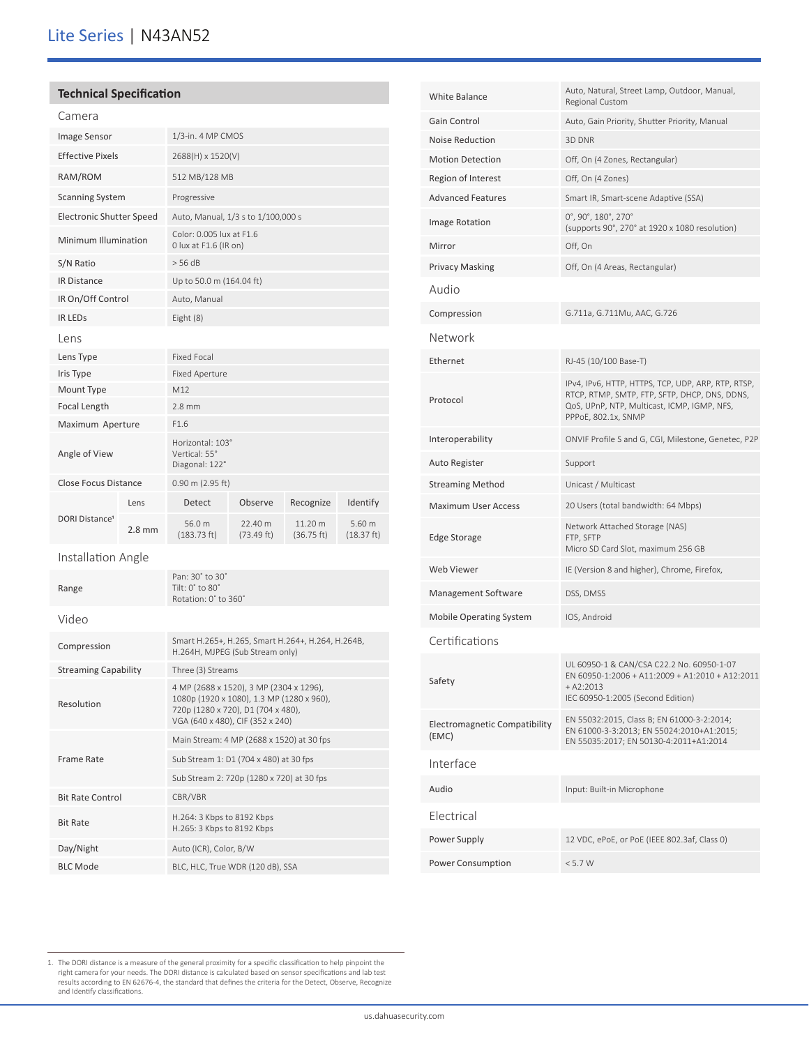# Lite Series | N43AN52

|  | <b>Technical Specification</b> |
|--|--------------------------------|
|--|--------------------------------|

| Camera                           |          |                                                                              |                       |                       |                      |
|----------------------------------|----------|------------------------------------------------------------------------------|-----------------------|-----------------------|----------------------|
| Image Sensor                     |          | $1/3$ -in. 4 MP CMOS                                                         |                       |                       |                      |
| <b>Effective Pixels</b>          |          |                                                                              | 2688(H) x 1520(V)     |                       |                      |
| RAM/ROM                          |          | 512 MB/128 MB                                                                |                       |                       |                      |
| <b>Scanning System</b>           |          | Progressive                                                                  |                       |                       |                      |
| <b>Electronic Shutter Speed</b>  |          | Auto, Manual, 1/3 s to 1/100,000 s                                           |                       |                       |                      |
| Minimum Illumination             |          | Color: 0.005 lux at F1.6<br>0 lux at F1.6 (IR on)                            |                       |                       |                      |
| S/N Ratio                        |          | > 56 dB                                                                      |                       |                       |                      |
| <b>IR Distance</b>               |          | Up to 50.0 m (164.04 ft)                                                     |                       |                       |                      |
| IR On/Off Control                |          | Auto, Manual                                                                 |                       |                       |                      |
| <b>IR LEDS</b>                   |          | Eight (8)                                                                    |                       |                       |                      |
| Lens                             |          |                                                                              |                       |                       |                      |
| Lens Type                        |          | Fixed Focal                                                                  |                       |                       |                      |
| Iris Type                        |          | <b>Fixed Aperture</b>                                                        |                       |                       |                      |
| Mount Type                       |          | M12                                                                          |                       |                       |                      |
| <b>Focal Length</b>              |          | $2.8$ mm                                                                     |                       |                       |                      |
| Maximum Aperture                 |          | F1.6                                                                         |                       |                       |                      |
| Angle of View                    |          | Horizontal: 103°<br>Vertical: 55°<br>Diagonal: 122°                          |                       |                       |                      |
| <b>Close Focus Distance</b>      |          | $0.90$ m (2.95 ft)                                                           |                       |                       |                      |
|                                  | Lens     | Detect                                                                       | Observe               | Recognize             | Identify             |
| <b>DORI Distance<sup>1</sup></b> | $2.8$ mm | 56.0 m<br>(183.73 ft)                                                        | 22.40 m<br>(73.49 ft) | 11.20 m<br>(36.75 ft) | 5.60 m<br>(18.37 ft) |
| Installation Angle               |          |                                                                              |                       |                       |                      |
| Range                            |          | Pan: 30° to 30°<br>Tilt: $0^{\circ}$ to $80^{\circ}$<br>Rotation: 0° to 360° |                       |                       |                      |
|                                  |          |                                                                              |                       |                       |                      |

|  | × | × |
|--|---|---|
|  |   |   |

| Video                       |                                                                                                                                                                |
|-----------------------------|----------------------------------------------------------------------------------------------------------------------------------------------------------------|
| Compression                 | Smart H.265+, H.265, Smart H.264+, H.264, H.264B,<br>H.264H, MJPEG (Sub Stream only)                                                                           |
| <b>Streaming Capability</b> | Three (3) Streams                                                                                                                                              |
| Resolution                  | 4 MP (2688 x 1520), 3 MP (2304 x 1296),<br>1080p (1920 x 1080), 1.3 MP (1280 x 960),<br>720p (1280 x 720), D1 (704 x 480),<br>VGA (640 x 480), CIF (352 x 240) |
| Frame Rate                  | Main Stream: 4 MP (2688 x 1520) at 30 fps                                                                                                                      |
|                             | Sub Stream 1: D1 (704 x 480) at 30 fps                                                                                                                         |
|                             | Sub Stream 2: 720p (1280 x 720) at 30 fps                                                                                                                      |
| <b>Bit Rate Control</b>     | CBR/VBR                                                                                                                                                        |
| <b>Bit Rate</b>             | H.264: 3 Kbps to 8192 Kbps<br>H.265: 3 Kbps to 8192 Kbps                                                                                                       |
| Day/Night                   | Auto (ICR), Color, B/W                                                                                                                                         |
| <b>BLC Mode</b>             | BLC, HLC, True WDR (120 dB), SSA                                                                                                                               |

| <b>White Balance</b>                   | Auto, Natural, Street Lamp, Outdoor, Manual,<br><b>Regional Custom</b>                                                                                                    |
|----------------------------------------|---------------------------------------------------------------------------------------------------------------------------------------------------------------------------|
| Gain Control                           | Auto, Gain Priority, Shutter Priority, Manual                                                                                                                             |
| <b>Noise Reduction</b>                 | 3D DNR                                                                                                                                                                    |
| <b>Motion Detection</b>                | Off, On (4 Zones, Rectangular)                                                                                                                                            |
| Region of Interest                     | Off, On (4 Zones)                                                                                                                                                         |
| <b>Advanced Features</b>               | Smart IR, Smart-scene Adaptive (SSA)                                                                                                                                      |
| Image Rotation                         | 0°, 90°, 180°, 270°<br>(supports 90°, 270° at 1920 x 1080 resolution)                                                                                                     |
| Mirror                                 | Off, On                                                                                                                                                                   |
| <b>Privacy Masking</b>                 | Off, On (4 Areas, Rectangular)                                                                                                                                            |
| Audio                                  |                                                                                                                                                                           |
| Compression                            | G.711a, G.711Mu, AAC, G.726                                                                                                                                               |
| Network                                |                                                                                                                                                                           |
| Ethernet                               | RJ-45 (10/100 Base-T)                                                                                                                                                     |
| Protocol                               | IPv4, IPv6, HTTP, HTTPS, TCP, UDP, ARP, RTP, RTSP,<br>RTCP, RTMP, SMTP, FTP, SFTP, DHCP, DNS, DDNS,<br>QoS, UPnP, NTP, Multicast, ICMP, IGMP, NFS,<br>PPPoE, 802.1x, SNMP |
| Interoperability                       | ONVIF Profile S and G, CGI, Milestone, Genetec, P2P                                                                                                                       |
| Auto Register                          | Support                                                                                                                                                                   |
| <b>Streaming Method</b>                | Unicast / Multicast                                                                                                                                                       |
| <b>Maximum User Access</b>             | 20 Users (total bandwidth: 64 Mbps)                                                                                                                                       |
| Edge Storage                           | Network Attached Storage (NAS)<br>FTP, SFTP<br>Micro SD Card Slot, maximum 256 GB                                                                                         |
| Web Viewer                             | IE (Version 8 and higher), Chrome, Firefox,                                                                                                                               |
| Management Software                    | DSS, DMSS                                                                                                                                                                 |
| <b>Mobile Operating System</b>         | IOS, Android                                                                                                                                                              |
| Certifications                         |                                                                                                                                                                           |
| Safety                                 | UL 60950-1 & CAN/CSA C22.2 No. 60950-1-07<br>EN 60950-1:2006 + A11:2009 + A1:2010 + A12:2011<br>$+ A2:2013$<br>IEC 60950-1:2005 (Second Edition)                          |
| Electromagnetic Compatibility<br>(EMC) | EN 55032:2015, Class B; EN 61000-3-2:2014;<br>EN 61000-3-3:2013; EN 55024:2010+A1:2015;<br>EN 55035:2017; EN 50130-4:2011+A1:2014                                         |
| Interface                              |                                                                                                                                                                           |
| Audio                                  | Input: Built-in Microphone                                                                                                                                                |
| Flectrical                             |                                                                                                                                                                           |
| Power Supply                           | 12 VDC, ePoE, or PoE (IEEE 802.3af, Class 0)                                                                                                                              |
| <b>Power Consumption</b>               | < 5.7 W                                                                                                                                                                   |

<sup>1.</sup> The DORI distance is a measure of the general proximity for a specific classification to help pinpoint the<br>right camera for your needs. The DORI distance is calculated based on sensor specifications and lab test<br>results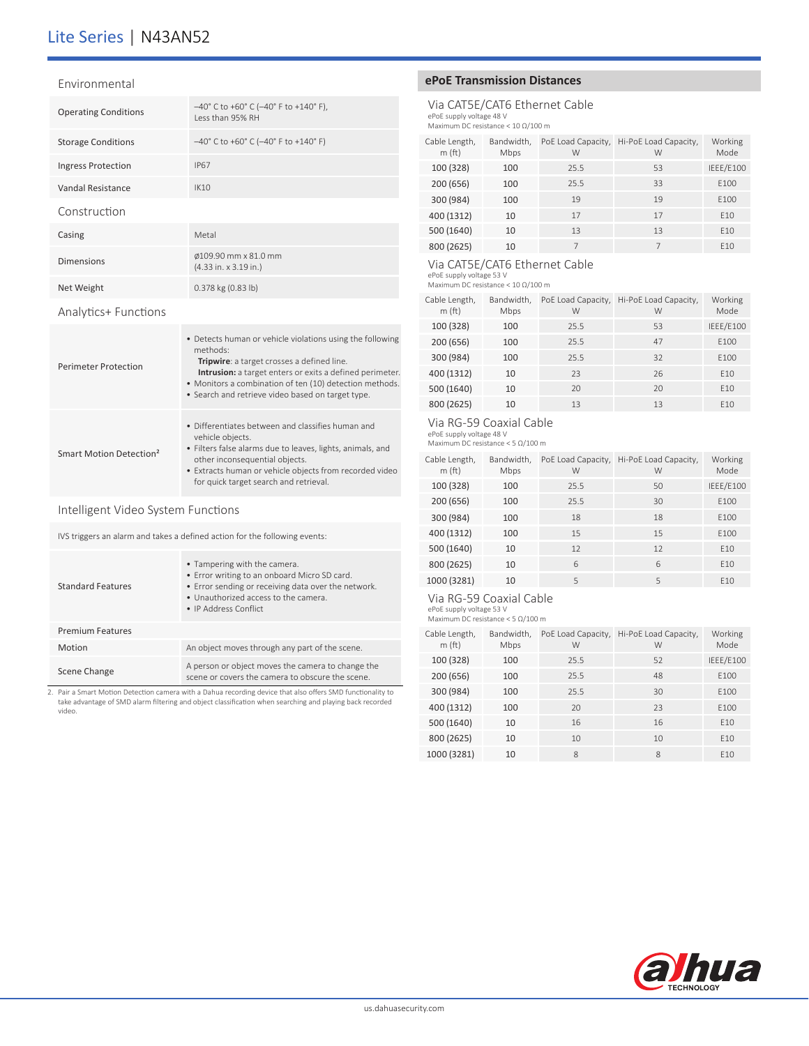# Lite Series | N43AN52

#### Environmental

| <b>Operating Conditions</b> | $-40^{\circ}$ C to +60° C (-40° F to +140° F),<br>Less than 95% RH   |
|-----------------------------|----------------------------------------------------------------------|
| <b>Storage Conditions</b>   | $-40^{\circ}$ C to +60° C ( $-40^{\circ}$ F to +140° F)              |
| <b>Ingress Protection</b>   | <b>IP67</b>                                                          |
| Vandal Resistance           | IK10                                                                 |
| Construction                |                                                                      |
| Casing                      | Metal                                                                |
| <b>Dimensions</b>           | Ø109.90 mm x 81.0 mm<br>$(4.33 \text{ in.} \times 3.19 \text{ in.})$ |
| Net Weight                  | 0.378 kg (0.83 lb)                                                   |
|                             |                                                                      |

## Analytics+ Functions

| Perimeter Protection                | • Detects human or vehicle violations using the following<br>methods:<br><b>Tripwire:</b> a target crosses a defined line.<br><b>Intrusion:</b> a target enters or exits a defined perimeter.<br>• Monitors a combination of ten (10) detection methods.<br>• Search and retrieve video based on target type. |
|-------------------------------------|---------------------------------------------------------------------------------------------------------------------------------------------------------------------------------------------------------------------------------------------------------------------------------------------------------------|
| Smart Motion Detection <sup>2</sup> | • Differentiates between and classifies human and<br>vehicle objects.<br>• Filters false alarms due to leaves, lights, animals, and<br>other inconsequential objects.<br>• Extracts human or vehicle objects from recorded video<br>for quick target search and retrieval.                                    |

## Intelligent Video System Functions

IVS triggers an alarm and takes a defined action for the following events:

| <b>Standard Features</b> | • Tampering with the camera.<br>• Error writing to an onboard Micro SD card.<br>• Error sending or receiving data over the network.<br>. Unauthorized access to the camera.<br>• IP Address Conflict |
|--------------------------|------------------------------------------------------------------------------------------------------------------------------------------------------------------------------------------------------|
| <b>Premium Features</b>  |                                                                                                                                                                                                      |
| Motion                   | An object moves through any part of the scene.                                                                                                                                                       |
| Scene Change             | A person or object moves the camera to change the<br>scene or covers the camera to obscure the scene.                                                                                                |

2. Pair a Smart Motion Detection camera with a Dahua recording device that also offers SMD functionality to take advantage of SMD alarm filtering and object classification when searching and playing back recorded video.

## **ePoE Transmission Distances**

## Via CAT5E/CAT6 Ethernet Cable

ePoE supply voltage 48 V Maximum DC resistance < 10 Ω/100 m

| Cable Length,<br>m(ft) | Bandwidth,<br>Mbps | PoE Load Capacity,<br>W | Hi-PoE Load Capacity,<br>W | Working<br>Mode |
|------------------------|--------------------|-------------------------|----------------------------|-----------------|
| 100 (328)              | 100                | 25.5                    | 53                         | IEEE/E100       |
| 200 (656)              | 100                | 25.5                    | 33                         | E100            |
| 300 (984)              | 100                | 19                      | 19                         | E100            |
| 400 (1312)             | 10                 | 17                      | 17                         | E10             |
| 500 (1640)             | 10                 | 13                      | 13                         | E10             |
| 800 (2625)             | 10                 |                         | 7                          | F <sub>10</sub> |

#### Via CAT5E/CAT6 Ethernet Cable

ePoE supply voltage 53 V Maximum DC resistance < 10 Ω/100 m

| Cable Length,<br>m(ft) | Bandwidth,<br>Mbps | PoE Load Capacity,<br>W | Hi-PoE Load Capacity,<br>W | Working<br>Mode |
|------------------------|--------------------|-------------------------|----------------------------|-----------------|
| 100 (328)              | 100                | 25.5                    | 53                         | IEEE/E100       |
| 200 (656)              | 100                | 25.5                    | 47                         | E100            |
| 300 (984)              | 100                | 25.5                    | 32                         | E100            |
| 400 (1312)             | 10                 | 23                      | 26                         | E10             |
| 500 (1640)             | 10                 | 20                      | 20                         | F <sub>10</sub> |
| 800 (2625)             | 10                 | 13                      | 13                         | F <sub>10</sub> |

#### Via RG-59 Coaxial Cable

ePoE supply voltage 48 V Maximum DC resistance < 5 Ω/100 m

| Cable Length,<br>m(ft) | Bandwidth,<br>Mbps | PoE Load Capacity,<br>W | Hi-PoE Load Capacity,<br>W | Working<br>Mode |
|------------------------|--------------------|-------------------------|----------------------------|-----------------|
| 100 (328)              | 100                | 25.5                    | 50                         | IEEE/E100       |
| 200 (656)              | 100                | 25.5                    | 30                         | E100            |
| 300 (984)              | 100                | 18                      | 18                         | E100            |
| 400 (1312)             | 100                | 15                      | 15                         | E100            |
| 500 (1640)             | 10                 | 12                      | 12                         | E10             |
| 800 (2625)             | 10                 | 6                       | 6                          | E10             |
| 1000 (3281)            | 10                 | 5                       | 5                          | F <sub>10</sub> |

## Via RG-59 Coaxial Cable

ePoE supply voltage 53 V Maximum DC resistance < 5 Ω/100 m

| Cable Length,<br>m(ft) | Bandwidth,<br>Mbps | PoE Load Capacity,<br>W | Hi-PoE Load Capacity,<br>W | Working<br>Mode |
|------------------------|--------------------|-------------------------|----------------------------|-----------------|
| 100 (328)              | 100                | 25.5                    | 52                         | IEEE/E100       |
| 200 (656)              | 100                | 25.5                    | 48                         | E100            |
| 300 (984)              | 100                | 25.5                    | 30                         | F100            |
| 400 (1312)             | 100                | 20                      | 23                         | F100            |
| 500 (1640)             | 10                 | 16                      | 16                         | F <sub>10</sub> |
| 800 (2625)             | 10                 | 10                      | 10                         | F <sub>10</sub> |
| 1000 (3281)            | 10                 | 8                       | 8                          | F <sub>10</sub> |